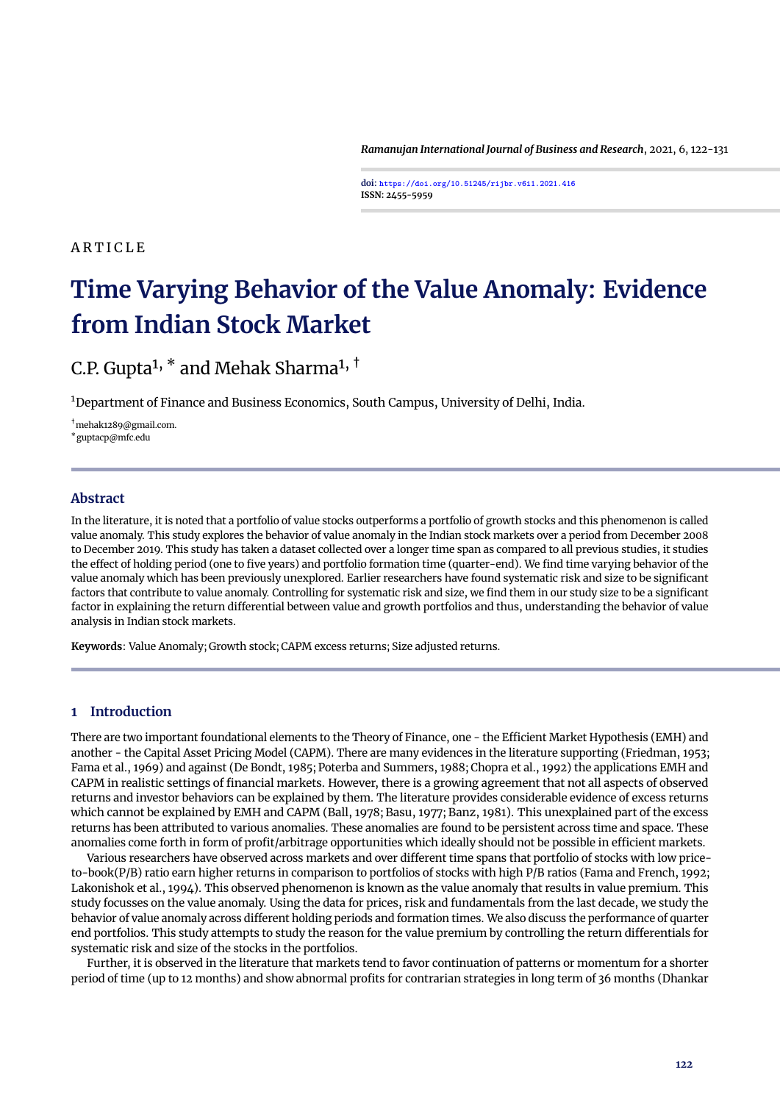*Ramanujan International Journal of Business and Research*, 2021, 6, 122[-131](#page-9-0)

**doi: <https://doi.org/10.51245/rijbr.v6i1.2021.416> ISSN: 2455-5959**

# <span id="page-0-0"></span>**ARTICLE**

# **Time Varying Behavior of the Value Anomaly: Evidence from Indian Stock Market**

# C.P. Gupta<sup>1,  $*$ </sup> and Mehak Sharma<sup>1,  $\dagger$ </sup>

<sup>1</sup>Department of Finance and Business Economics, South Campus, University of Delhi, India.

†mehak1289@gmail.com. \*guptacp@mfc.edu

# **Abstract**

In the literature, it is noted that a portfolio of value stocks outperforms a portfolio of growth stocks and this phenomenon is called value anomaly. This study explores the behavior of value anomaly in the Indian stock markets over a period from December 2008 to December 2019. This study has taken a dataset collected over a longer time span as compared to all previous studies, it studies the effect of holding period (one to five years) and portfolio formation time (quarter-end). We find time varying behavior of the value anomaly which has been previously unexplored. Earlier researchers have found systematic risk and size to be significant factors that contribute to value anomaly. Controlling for systematic risk and size, we find them in our study size to be a significant factor in explaining the return differential between value and growth portfolios and thus, understanding the behavior of value analysis in Indian stock markets.

**Keywords**: Value Anomaly; Growth stock; CAPM excess returns; Size adjusted returns.

# **1 Introduction**

There are two important foundational elements to the Theory of Finance, one - the Efficient Market Hypothesis (EMH) and another - the Capital Asset Pricing Model (CAPM). There are many evidences in the literature supporting [\(Friedman,](#page-9-1) [1953;](#page-9-1) [Fama et al.,](#page-9-2) [1969\)](#page-9-2) and against [\(De Bondt,](#page-9-3) [1985;](#page-9-3) [Poterba and Summers,](#page-9-4) [1988;](#page-9-4) [Chopra et al.,](#page-9-5) [1992\)](#page-9-5) the applications EMH and CAPM in realistic settings of financial markets. However, there is a growing agreement that not all aspects of observed returns and investor behaviors can be explained by them. The literature provides considerable evidence of excess returns which cannot be explained by EMH and CAPM [\(Ball,](#page-8-0) [1978;](#page-8-0) [Basu,](#page-9-6) [1977;](#page-9-6) [Banz,](#page-9-7) [1981\)](#page-9-7). This unexplained part of the excess returns has been attributed to various anomalies. These anomalies are found to be persistent across time and space. These anomalies come forth in form of profit/arbitrage opportunities which ideally should not be possible in efficient markets.

Various researchers have observed across markets and over different time spans that portfolio of stocks with low priceto-book(P/B) ratio earn higher returns in comparison to portfolios of stocks with high P/B ratios [\(Fama and French,](#page-9-8) [1992;](#page-9-8) [Lakonishok et al.,](#page-9-9) [1994\)](#page-9-9). This observed phenomenon is known as the value anomaly that results in value premium. This study focusses on the value anomaly. Using the data for prices, risk and fundamentals from the last decade, we study the behavior of value anomaly across different holding periods and formation times. We also discuss the performance of quarter end portfolios. This study attempts to study the reason for the value premium by controlling the return differentials for systematic risk and size of the stocks in the portfolios.

Further, it is observed in the literature that markets tend to favor continuation of patterns or momentum for a shorter period of time (up to 12 months) and show abnormal profits for contrarian strategies in long term of 36 months [\(Dhankar](#page-9-10)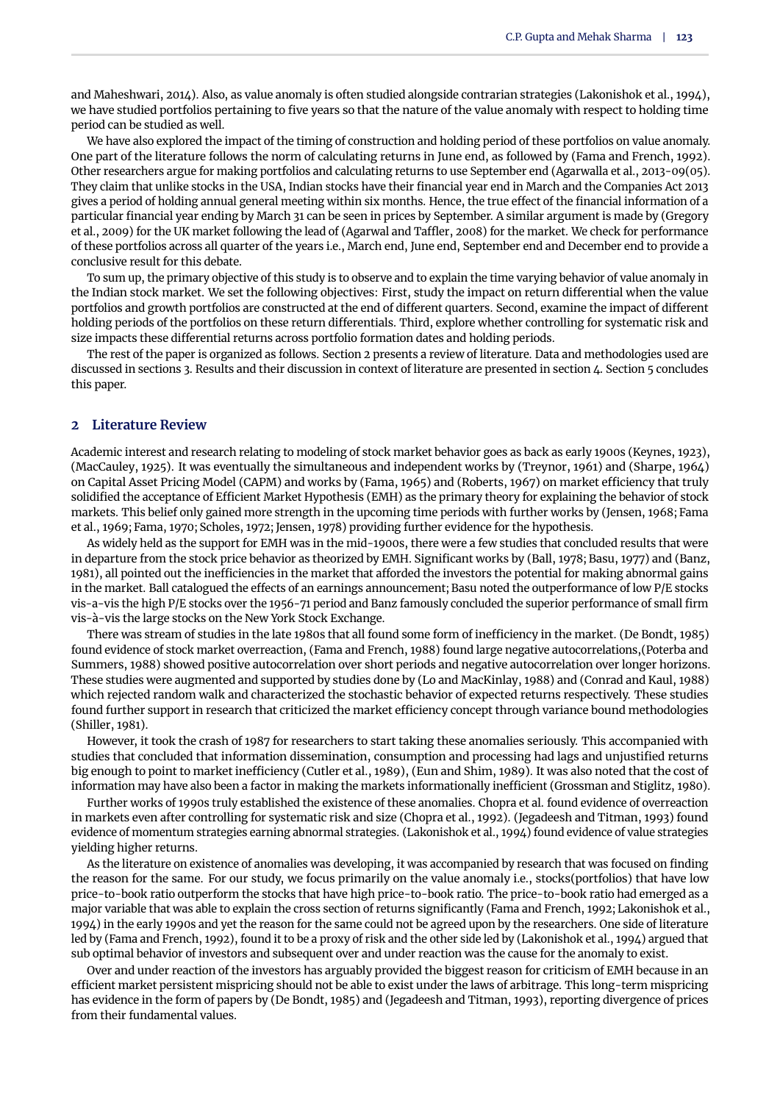[and Maheshwari,](#page-9-10) [2014\)](#page-9-10). Also, as value anomaly is often studied alongside contrarian strategies [\(Lakonishok et al.,](#page-9-9) [1994\)](#page-9-9), we have studied portfolios pertaining to five years so that the nature of the value anomaly with respect to holding time period can be studied as well.

We have also explored the impact of the timing of construction and holding period of these portfolios on value anomaly. One part of the literature follows the norm of calculating returns in June end, as followed by [\(Fama and French,](#page-9-8) [1992\)](#page-9-8). Other researchers argue for making portfolios and calculating returns to use September end [\(Agarwalla et al.,](#page-8-1) [2013-09\(05\)](#page-8-1). They claim that unlike stocks in the USA, Indian stocks have their financial year end in March and the Companies Act 2013 gives a period of holding annual general meeting within six months. Hence, the true effect of the financial information of a particular financial year ending by March 31 can be seen in prices by September. A similar argument is made by [\(Gregory](#page-9-11) [et al.,](#page-9-11) [2009\)](#page-9-11) for the UK market following the lead of [\(Agarwal and Taffler,](#page-8-2) [2008\)](#page-8-2) for the market. We check for performance of these portfolios across all quarter of the years i.e., March end, June end, September end and December end to provide a conclusive result for this debate.

To sum up, the primary objective of this study is to observe and to explain the time varying behavior of value anomaly in the Indian stock market. We set the following objectives: First, study the impact on return differential when the value portfolios and growth portfolios are constructed at the end of different quarters. Second, examine the impact of different holding periods of the portfolios on these return differentials. Third, explore whether controlling for systematic risk and size impacts these differential returns across portfolio formation dates and holding periods.

The rest of the paper is organized as follows. Section 2 presents a review of literature. Data and methodologies used are discussed in sections 3. Results and their discussion in context of literature are presented in section 4. Section 5 concludes this paper.

#### **2 Literature Review**

Academic interest and research relating to modeling of stock market behavior goes as back as early 1900s [\(Keynes,](#page-9-12) [1923\)](#page-9-12), [\(MacCauley,](#page-9-13) [1925\)](#page-9-13). It was eventually the simultaneous and independent works by [\(Treynor,](#page-9-14) [1961\)](#page-9-14) and [\(Sharpe,](#page-9-15) [1964\)](#page-9-15) on Capital Asset Pricing Model (CAPM) and works by [\(Fama,](#page-9-16) [1965\)](#page-9-16) and [\(Roberts,](#page-9-17) [1967\)](#page-9-17) on market efficiency that truly solidified the acceptance of Efficient Market Hypothesis (EMH) as the primary theory for explaining the behavior of stock markets. This belief only gained more strength in the upcoming time periods with further works by [\(Jensen,](#page-9-18) [1968;](#page-9-18) [Fama](#page-9-2) [et al.,](#page-9-2) [1969;](#page-9-2) [Fama,](#page-9-19) [1970;](#page-9-19) [Scholes,](#page-9-20) [1972;](#page-9-20) [Jensen,](#page-9-21) [1978\)](#page-9-21) providing further evidence for the hypothesis.

As widely held as the support for EMH was in the mid-1900s, there were a few studies that concluded results that were in departure from the stock price behavior as theorized by EMH. Significant works by [\(Ball,](#page-8-0) [1978;](#page-8-0) [Basu,](#page-9-6) [1977\)](#page-9-6) and [\(Banz,](#page-9-7) [1981\)](#page-9-7), all pointed out the inefficiencies in the market that afforded the investors the potential for making abnormal gains in the market. Ball catalogued the effects of an earnings announcement; Basu noted the outperformance of low P/E stocks vis-a-vis the high P/E stocks over the 1956-71 period and Banz famously concluded the superior performance of small firm vis-à-vis the large stocks on the New York Stock Exchange.

There was stream of studies in the late 1980s that all found some form of inefficiency in the market. [\(De Bondt,](#page-9-3) [1985\)](#page-9-3) found evidence of stock market overreaction, [\(Fama and French,](#page-9-22) [1988\)](#page-9-22) found large negative autocorrelations,[\(Poterba and](#page-9-4) [Summers,](#page-9-4) [1988\)](#page-9-4) showed positive autocorrelation over short periods and negative autocorrelation over longer horizons. These studies were augmented and supported by studies done by [\(Lo and MacKinlay,](#page-9-23) [1988\)](#page-9-23) and [\(Conrad and Kaul,](#page-9-24) [1988\)](#page-9-24) which rejected random walk and characterized the stochastic behavior of expected returns respectively. These studies found further support in research that criticized the market efficiency concept through variance bound methodologies [\(Shiller,](#page-9-25) [1981\)](#page-9-25).

However, it took the crash of 1987 for researchers to start taking these anomalies seriously. This accompanied with studies that concluded that information dissemination, consumption and processing had lags and unjustified returns big enough to point to market inefficiency [\(Cutler et al.,](#page-9-26) [1989\)](#page-9-26), [\(Eun and Shim,](#page-9-27) [1989\)](#page-9-27). It was also noted that the cost of information may have also been a factor in making the markets informationally inefficient [\(Grossman and Stiglitz,](#page-9-28) [1980\)](#page-9-28).

Further works of 1990s truly established the existence of these anomalies. Chopra et al. found evidence of overreaction in markets even after controlling for systematic risk and size [\(Chopra et al.,](#page-9-5) [1992\)](#page-9-5). [\(Jegadeesh and Titman,](#page-9-29) [1993\)](#page-9-29) found evidence of momentum strategies earning abnormal strategies. [\(Lakonishok et al.,](#page-9-9) [1994\)](#page-9-9) found evidence of value strategies yielding higher returns.

As the literature on existence of anomalies was developing, it was accompanied by research that was focused on finding the reason for the same. For our study, we focus primarily on the value anomaly i.e., stocks(portfolios) that have low price-to-book ratio outperform the stocks that have high price-to-book ratio. The price-to-book ratio had emerged as a major variable that was able to explain the cross section of returns significantly [\(Fama and French,](#page-9-8) [1992;](#page-9-8) [Lakonishok et al.,](#page-9-9) [1994\)](#page-9-9) in the early 1990s and yet the reason for the same could not be agreed upon by the researchers. One side of literature led by [\(Fama and French,](#page-9-8) [1992\)](#page-9-8), found it to be a proxy of risk and the other side led by [\(Lakonishok et al.,](#page-9-9) [1994\)](#page-9-9) argued that sub optimal behavior of investors and subsequent over and under reaction was the cause for the anomaly to exist.

Over and under reaction of the investors has arguably provided the biggest reason for criticism of EMH because in an efficient market persistent mispricing should not be able to exist under the laws of arbitrage. This long-term mispricing has evidence in the form of papers by [\(De Bondt,](#page-9-3) [1985\)](#page-9-3) and [\(Jegadeesh and Titman,](#page-9-29) [1993\)](#page-9-29), reporting divergence of prices from their fundamental values.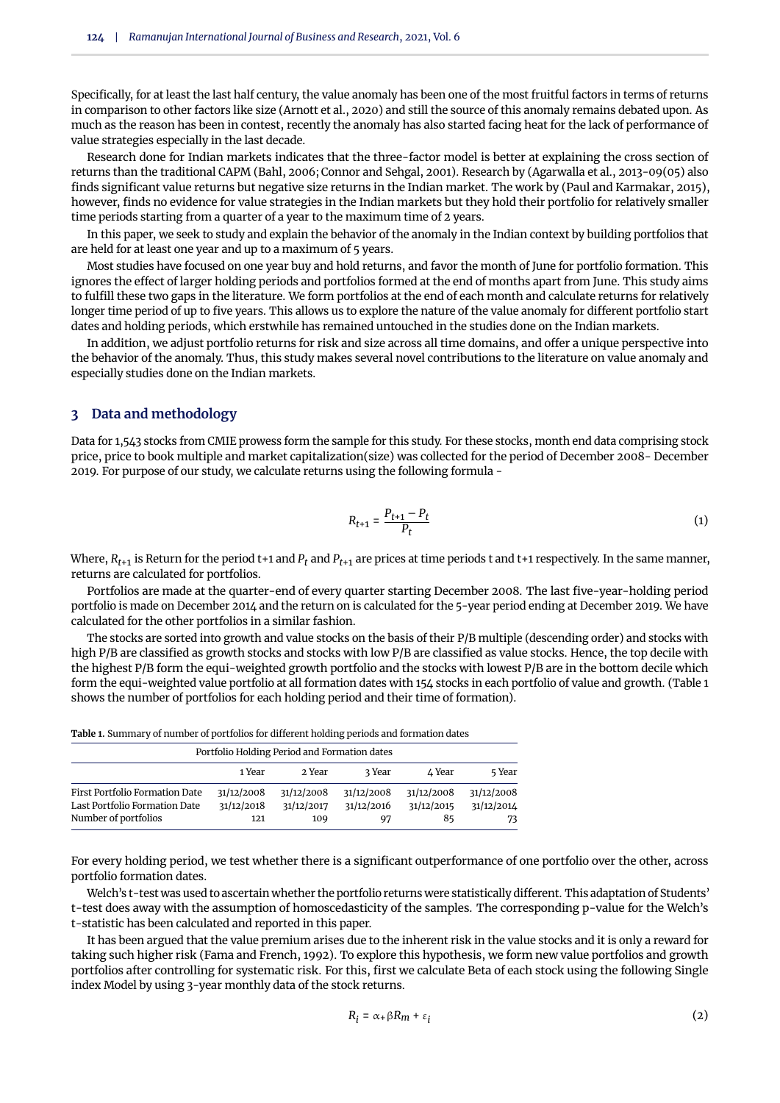Specifically, for at least the last half century, the value anomaly has been one of the most fruitful factors in terms of returns in comparison to other factors like size [\(Arnott et al.,](#page-8-3) [2020\)](#page-8-3) and still the source of this anomaly remains debated upon. As much as the reason has been in contest, recently the anomaly has also started facing heat for the lack of performance of value strategies especially in the last decade.

Research done for Indian markets indicates that the three-factor model is better at explaining the cross section of returns than the traditional CAPM [\(Bahl,](#page-8-4) [2006;](#page-8-4) [Connor and Sehgal,](#page-9-30) [2001\)](#page-9-30). Research by [\(Agarwalla et al.,](#page-8-1) [2013-09\(05\)](#page-8-1) also finds significant value returns but negative size returns in the Indian market. The work by [\(Paul and Karmakar,](#page-9-31) [2015\)](#page-9-31), however, finds no evidence for value strategies in the Indian markets but they hold their portfolio for relatively smaller time periods starting from a quarter of a year to the maximum time of 2 years.

In this paper, we seek to study and explain the behavior of the anomaly in the Indian context by building portfolios that are held for at least one year and up to a maximum of 5 years.

Most studies have focused on one year buy and hold returns, and favor the month of June for portfolio formation. This ignores the effect of larger holding periods and portfolios formed at the end of months apart from June. This study aims to fulfill these two gaps in the literature. We form portfolios at the end of each month and calculate returns for relatively longer time period of up to five years. This allows us to explore the nature of the value anomaly for different portfolio start dates and holding periods, which erstwhile has remained untouched in the studies done on the Indian markets.

In addition, we adjust portfolio returns for risk and size across all time domains, and offer a unique perspective into the behavior of the anomaly. Thus, this study makes several novel contributions to the literature on value anomaly and especially studies done on the Indian markets.

# **3 Data and methodology**

Data for 1,543 stocks from CMIE prowess form the sample for this study. For these stocks, month end data comprising stock price, price to book multiple and market capitalization(size) was collected for the period of December 2008- December 2019. For purpose of our study, we calculate returns using the following formula -

$$
R_{t+1} = \frac{P_{t+1} - P_t}{P_t} \tag{1}
$$

Where,  $R_{t+1}$  is Return for the period t+1 and  $P_t$  and  $P_{t+1}$  are prices at time periods t and t+1 respectively. In the same manner, returns are calculated for portfolios.

Portfolios are made at the quarter-end of every quarter starting December 2008. The last five-year-holding period portfolio is made on December 2014 and the return on is calculated for the 5-year period ending at December 2019. We have calculated for the other portfolios in a similar fashion.

The stocks are sorted into growth and value stocks on the basis of their P/B multiple (descending order) and stocks with high P/B are classified as growth stocks and stocks with low P/B are classified as value stocks. Hence, the top decile with the highest P/B form the equi-weighted growth portfolio and the stocks with lowest P/B are in the bottom decile which form the equi-weighted value portfolio at all formation dates with 154 stocks in each portfolio of value and growth. (Table 1 shows the number of portfolios for each holding period and their time of formation).

**Table 1.** Summary of number of portfolios for different holding periods and formation dates

| Portfolio Holding Period and Formation dates |            |            |            |            |            |  |  |
|----------------------------------------------|------------|------------|------------|------------|------------|--|--|
|                                              | 1 Year     | 2 Year     | 3 Year     | ∆ Year     | 5 Year     |  |  |
| <b>First Portfolio Formation Date</b>        | 31/12/2008 | 31/12/2008 | 31/12/2008 | 31/12/2008 | 31/12/2008 |  |  |
| Last Portfolio Formation Date                | 31/12/2018 | 31/12/2017 | 31/12/2016 | 31/12/2015 | 31/12/2014 |  |  |
| Number of portfolios                         | 121        | 109        | 97         | 85         | 73         |  |  |

For every holding period, we test whether there is a significant outperformance of one portfolio over the other, across portfolio formation dates.

Welch's t-test was used to ascertain whether the portfolio returns were statistically different. This adaptation of Students' t-test does away with the assumption of homoscedasticity of the samples. The corresponding p-value for the Welch's t-statistic has been calculated and reported in this paper.

It has been argued that the value premium arises due to the inherent risk in the value stocks and it is only a reward for taking such higher risk [\(Fama and French,](#page-9-8) [1992\)](#page-9-8). To explore this hypothesis, we form new value portfolios and growth portfolios after controlling for systematic risk. For this, first we calculate Beta of each stock using the following Single index Model by using 3-year monthly data of the stock returns.

$$
R_i = \alpha + \beta R_m + \varepsilon_i \tag{2}
$$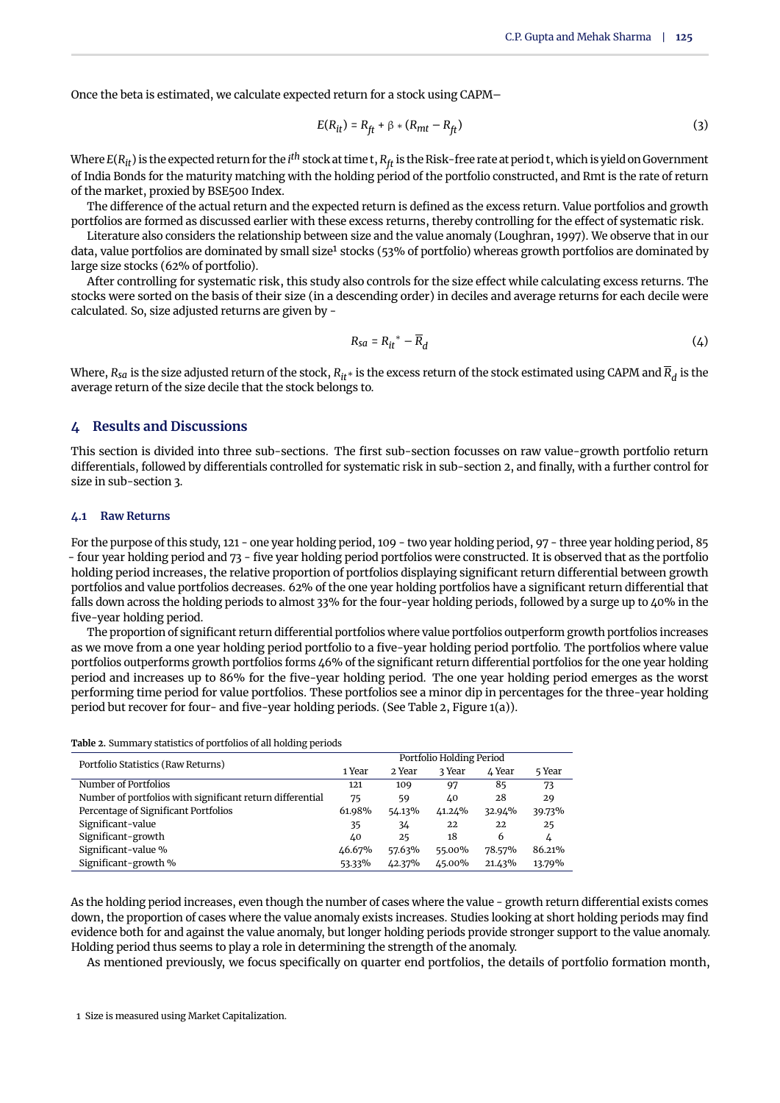Once the beta is estimated, we calculate expected return for a stock using CAPM–

$$
E(R_{it}) = R_{ft} + \beta * (R_{mt} - R_{ft})
$$
\n(3)

Where *E*(*Rit*) is the expected return for the *i th* stock at time t, *<sup>R</sup>ft* is the Risk-free rate at period t, which is yield on Government of India Bonds for the maturity matching with the holding period of the portfolio constructed, and Rmt is the rate of return of the market, proxied by BSE500 Index.

The difference of the actual return and the expected return is defined as the excess return. Value portfolios and growth portfolios are formed as discussed earlier with these excess returns, thereby controlling for the effect of systematic risk.

Literature also considers the relationship between size and the value anomaly [\(Loughran,](#page-9-32) [1997\)](#page-9-32). We observe that in our data, value portfolios are dominated by small size<sup>[1](#page-0-0)</sup> stocks (53% of portfolio) whereas growth portfolios are dominated by large size stocks (62% of portfolio).

After controlling for systematic risk, this study also controls for the size effect while calculating excess returns. The stocks were sorted on the basis of their size (in a descending order) in deciles and average returns for each decile were calculated. So, size adjusted returns are given by -

$$
R_{sa} = R_{it}^* - \overline{R}_d \tag{4}
$$

Where, *Rsa* is the size adjusted return of the stock, *Rit*∗ is the excess return of the stock estimated using CAPM and *R<sup>d</sup>* is the average return of the size decile that the stock belongs to.

#### **4 Results and Discussions**

This section is divided into three sub-sections. The first sub-section focusses on raw value-growth portfolio return differentials, followed by differentials controlled for systematic risk in sub-section 2, and finally, with a further control for size in sub-section 3.

#### **4.1 Raw Returns**

For the purpose of this study, 121 - one year holding period, 109 - two year holding period, 97 - three year holding period, 85 - four year holding period and 73 - five year holding period portfolios were constructed. It is observed that as the portfolio holding period increases, the relative proportion of portfolios displaying significant return differential between growth portfolios and value portfolios decreases. 62% of the one year holding portfolios have a significant return differential that falls down across the holding periods to almost 33% for the four-year holding periods, followed by a surge up to 40% in the five-year holding period.

The proportion of significant return differential portfolios where value portfolios outperform growth portfolios increases as we move from a one year holding period portfolio to a five-year holding period portfolio. The portfolios where value portfolios outperforms growth portfolios forms 46% of the significant return differential portfolios for the one year holding period and increases up to 86% for the five-year holding period. The one year holding period emerges as the worst performing time period for value portfolios. These portfolios see a minor dip in percentages for the three-year holding period but recover for four- and five-year holding periods. (See [Table 2,](#page-3-0) [Figure 1\(](#page-4-0)a)).

| <b>racie al cammary cautotics of portfolios of an homanis periods</b> |                          |        |        |        |        |  |  |
|-----------------------------------------------------------------------|--------------------------|--------|--------|--------|--------|--|--|
| Portfolio Statistics (Raw Returns)                                    | Portfolio Holding Period |        |        |        |        |  |  |
|                                                                       | 1 Year                   | 2 Year | 3 Year | ∆ Year | 5 Year |  |  |
| Number of Portfolios                                                  | 121                      | 109    | 97     | 85     | 73     |  |  |
| Number of portfolios with significant return differential             | 75                       | 59     | 40     | 28     | 29     |  |  |
| Percentage of Significant Portfolios                                  | 61.98%                   | 54.13% | 41.24% | 32.94% | 39.73% |  |  |
| Significant-value                                                     | 35                       | 34     | 22     | 22     | 25     |  |  |
| Significant-growth                                                    | 40                       | 25     | 18     | 6      | 4      |  |  |
| Significant-value %                                                   | 46.67%                   | 57.63% | 55.00% | 78.57% | 86.21% |  |  |
| Significant-growth %                                                  | 53.33%                   | 42.37% | 45.00% | 21.43% | 13.79% |  |  |

<span id="page-3-0"></span>**Table 2.** Summary statistics of portfolios of all holding periods

As the holding period increases, even though the number of cases where the value - growth return differential exists comes down, the proportion of cases where the value anomaly exists increases. Studies looking at short holding periods may find evidence both for and against the value anomaly, but longer holding periods provide stronger support to the value anomaly. Holding period thus seems to play a role in determining the strength of the anomaly.

As mentioned previously, we focus specifically on quarter end portfolios, the details of portfolio formation month,

1 Size is measured using Market Capitalization.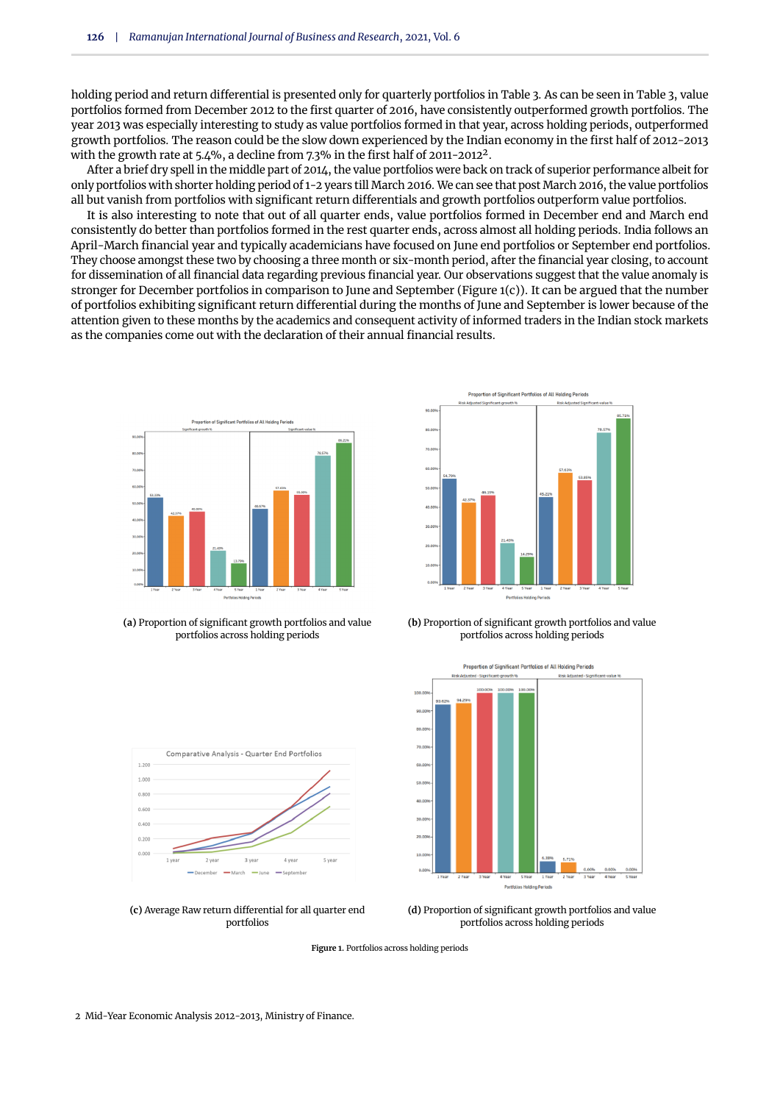holding period and return differential is presented only for quarterly portfolios in Table 3. As can be seen in Table 3, value portfolios formed from December 2012 to the first quarter of 2016, have consistently outperformed growth portfolios. The year 2013 was especially interesting to study as value portfolios formed in that year, across holding periods, outperformed growth portfolios. The reason could be the slow down experienced by the Indian economy in the first half of 2012-2013 with the growth rate at 5.4%, a decline from 7.3% in the first half of [2](#page-0-0)011-2012<sup>2</sup>.

After a brief dry spell in the middle part of 2014, the value portfolios were back on track of superior performance albeit for only portfolios with shorter holding period of 1-2 years till March 2016. We can see that post March 2016, the value portfolios all but vanish from portfolios with significant return differentials and growth portfolios outperform value portfolios.

It is also interesting to note that out of all quarter ends, value portfolios formed in December end and March end consistently do better than portfolios formed in the rest quarter ends, across almost all holding periods. India follows an April-March financial year and typically academicians have focused on June end portfolios or September end portfolios. They choose amongst these two by choosing a three month or six-month period, after the financial year closing, to account for dissemination of all financial data regarding previous financial year. Our observations suggest that the value anomaly is stronger for December portfolios in comparison to June and September [\(Figure 1\(](#page-4-0)c)). It can be argued that the number of portfolios exhibiting significant return differential during the months of June and September is lower because of the attention given to these months by the academics and consequent activity of informed traders in the Indian stock markets as the companies come out with the declaration of their annual financial results.

<span id="page-4-0"></span>

**(a)** Proportion of significant growth portfolios and value portfolios across holding periods



**(b)** Proportion of significant growth portfolios and value portfolios across holding periods

Proportion of Significant Portfolios of All Holding Periods







**(d)** Proportion of significant growth portfolios and value portfolios across holding periods

**Figure 1.** Portfolios across holding periods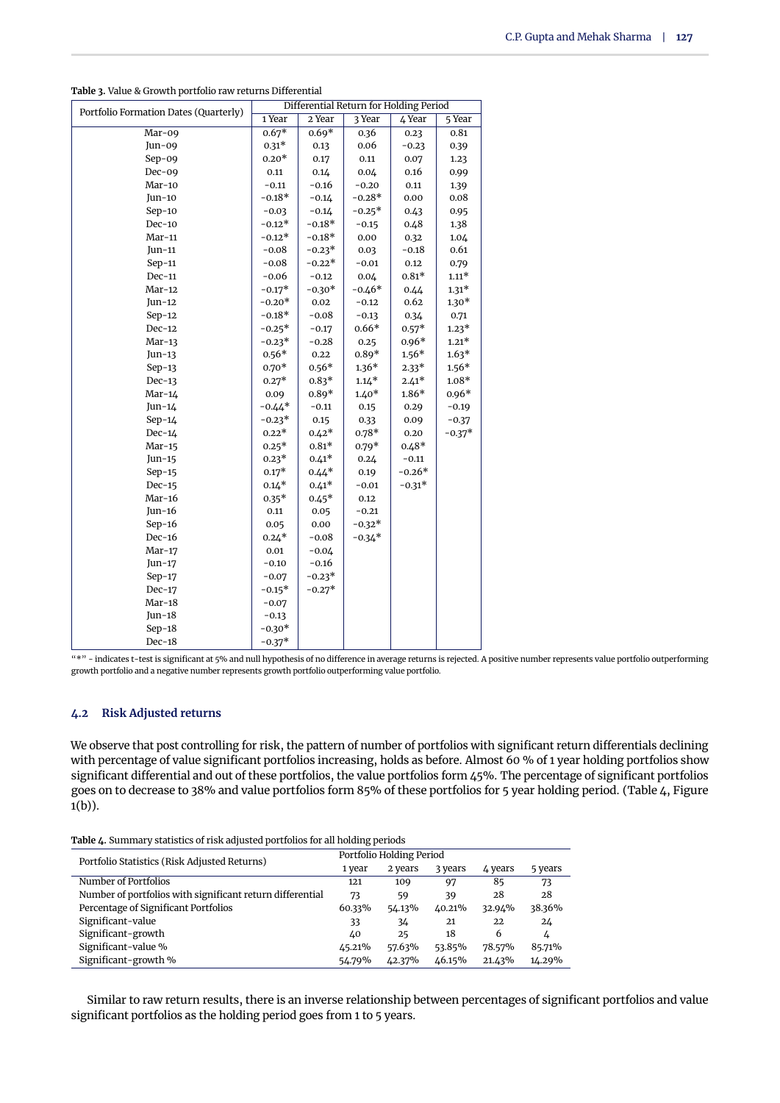| Differential Return for Holding Period<br>Portfolio Formation Dates (Quarterly) |          |          |          |          |          |  |
|---------------------------------------------------------------------------------|----------|----------|----------|----------|----------|--|
|                                                                                 | 1 Year   | 2 Year   | 3 Year   | 4 Year   | $5$ Year |  |
| Mar-09                                                                          | $0.67*$  | $0.69*$  | 0.36     | 0.23     | 0.81     |  |
| Jun-09                                                                          | $0.31*$  | 0.13     | 0.06     | $-0.23$  | 0.39     |  |
| $Sep-09$                                                                        | $0.20*$  | 0.17     | 0.11     | 0.07     | 1.23     |  |
| $Dec-09$                                                                        | 0.11     | 0.14     | 0.04     | 0.16     | 0.99     |  |
| Mar-10                                                                          | $-0.11$  | $-0.16$  | $-0.20$  | 0.11     | 1.39     |  |
| $Jun-10$                                                                        | $-0.18*$ | $-0.14$  | $-0.28*$ | 0.00     | 0.08     |  |
| $Sep-10$                                                                        | $-0.03$  | $-0.14$  | $-0.25*$ | 0.43     | 0.95     |  |
| $Dec-10$                                                                        | $-0.12*$ | $-0.18*$ | $-0.15$  | 0.48     | 1.38     |  |
| $Mar-11$                                                                        | $-0.12*$ | $-0.18*$ | 0.00     | 0.32     | 1.04     |  |
| Jun-11                                                                          | $-0.08$  | $-0.23*$ | 0.03     | $-0.18$  | 0.61     |  |
| $Sep-11$                                                                        | $-0.08$  | $-0.22*$ | $-0.01$  | 0.12     | 0.79     |  |
| $Dec-11$                                                                        | $-0.06$  | $-0.12$  | 0.04     | $0.81*$  | $1.11*$  |  |
| $Mar-12$                                                                        | $-0.17*$ | $-0.30*$ | $-0.46*$ | 0.44     | $1.31*$  |  |
| $Jun-12$                                                                        | $-0.20*$ | 0.02     | $-0.12$  | 0.62     | $1.30*$  |  |
| $Sep-12$                                                                        | $-0.18*$ | $-0.08$  | $-0.13$  | 0.34     | 0.71     |  |
| $Dec-12$                                                                        | $-0.25*$ | $-0.17$  | $0.66*$  | $0.57*$  | $1.23*$  |  |
| $Mar-13$                                                                        | $-0.23*$ | $-0.28$  | 0.25     | $0.96*$  | $1.21*$  |  |
| Jun-13                                                                          | $0.56*$  | 0.22     | $0.89*$  | $1.56*$  | $1.63*$  |  |
| $Sep-13$                                                                        | $0.70*$  | $0.56*$  | $1.36*$  | $2.33*$  | $1.56*$  |  |
| $Dec-13$                                                                        | $0.27*$  | $0.83*$  | $1.14*$  | $2.41*$  | $1.08*$  |  |
| $Mar-14$                                                                        | 0.09     | $0.89*$  | $1.40*$  | $1.86*$  | $0.96*$  |  |
| Jun-14                                                                          | $-0.44*$ | $-0.11$  | 0.15     | 0.29     | $-0.19$  |  |
| $Sep-14$                                                                        | $-0.23*$ | 0.15     | 0.33     | 0.09     | $-0.37$  |  |
| $Dec-14$                                                                        | $0.22*$  | $0.42*$  | $0.78*$  | 0.20     | $-0.37*$ |  |
| $Mar-15$                                                                        | $0.25*$  | $0.81*$  | $0.79*$  | $0.48*$  |          |  |
| Jun- $15$                                                                       | $0.23*$  | $0.41*$  | 0.24     | $-0.11$  |          |  |
| $Sep-15$                                                                        | $0.17*$  | $0.44*$  | 0.19     | $-0.26*$ |          |  |
| $Dec-15$                                                                        | $0.14*$  | $0.41*$  | $-0.01$  | $-0.31*$ |          |  |
| $Mar-16$                                                                        | $0.35*$  | $0.45*$  | $0.12\,$ |          |          |  |
| Jun- $16$                                                                       | 0.11     | 0.05     | $-0.21$  |          |          |  |
| $Sep-16$                                                                        | 0.05     | 0.00     | $-0.32*$ |          |          |  |
| $Dec-16$                                                                        | $0.24*$  | $-0.08$  | $-0.34*$ |          |          |  |
| $Mar-17$                                                                        | $0.01\,$ | $-0.04$  |          |          |          |  |
| $Jun-17$                                                                        | $-0.10$  | $-0.16$  |          |          |          |  |
| $Sep-17$                                                                        | $-0.07$  | $-0.23*$ |          |          |          |  |
| $Dec-17$                                                                        | $-0.15*$ | $-0.27*$ |          |          |          |  |
| $Mar-18$                                                                        | $-0.07$  |          |          |          |          |  |
| Jun-18                                                                          | $-0.13$  |          |          |          |          |  |
| $Sep-18$                                                                        | $-0.30*$ |          |          |          |          |  |
| $Dec-18$                                                                        | $-0.37*$ |          |          |          |          |  |

**Table 3.** Value & Growth portfolio raw returns Differential

"\*" - indicates t-test is significant at 5% and null hypothesis of no difference in average returns is rejected. A positive number represents value portfolio outperforming growth portfolio and a negative number represents growth portfolio outperforming value portfolio.

#### **4.2 Risk Adjusted returns**

We observe that post controlling for risk, the pattern of number of portfolios with significant return differentials declining with percentage of value significant portfolios increasing, holds as before. Almost 60 % of 1 year holding portfolios show significant differential and out of these portfolios, the value portfolios form 45%. The percentage of significant portfolios goes on to decrease to 38% and value portfolios form 85% of these portfolios for 5 year holding period. [\(Table 4,](#page-5-0) [Figure](#page-4-0)  $1(b)$  $1(b)$ ).

<span id="page-5-0"></span>**Table 4.** Summary statistics of risk adjusted portfolios for all holding periods

|                                                           |        | Portfolio Holding Period |         |         |         |  |  |
|-----------------------------------------------------------|--------|--------------------------|---------|---------|---------|--|--|
| Portfolio Statistics (Risk Adjusted Returns)              | 1 year | 2 years                  | 3 years | 4 years | 5 years |  |  |
| Number of Portfolios                                      | 121    | 109                      | 97      | 85      | 73      |  |  |
| Number of portfolios with significant return differential | 73     | 59                       | 39      | 28      | 28      |  |  |
| Percentage of Significant Portfolios                      | 60.33% | 54.13%                   | 40.21%  | 32.94%  | 38.36%  |  |  |
| Significant-value                                         | 33     | 34                       | 21      | 22      | 24      |  |  |
| Significant-growth                                        | 40     | 25                       | 18      | 6       | 4       |  |  |
| Significant-value %                                       | 45.21% | 57.63%                   | 53.85%  | 78.57%  | 85.71%  |  |  |
| Significant-growth %                                      | 54.79% | 42.37%                   | 46.15%  | 21.43%  | 14.29%  |  |  |

Similar to raw return results, there is an inverse relationship between percentages of significant portfolios and value significant portfolios as the holding period goes from 1 to 5 years.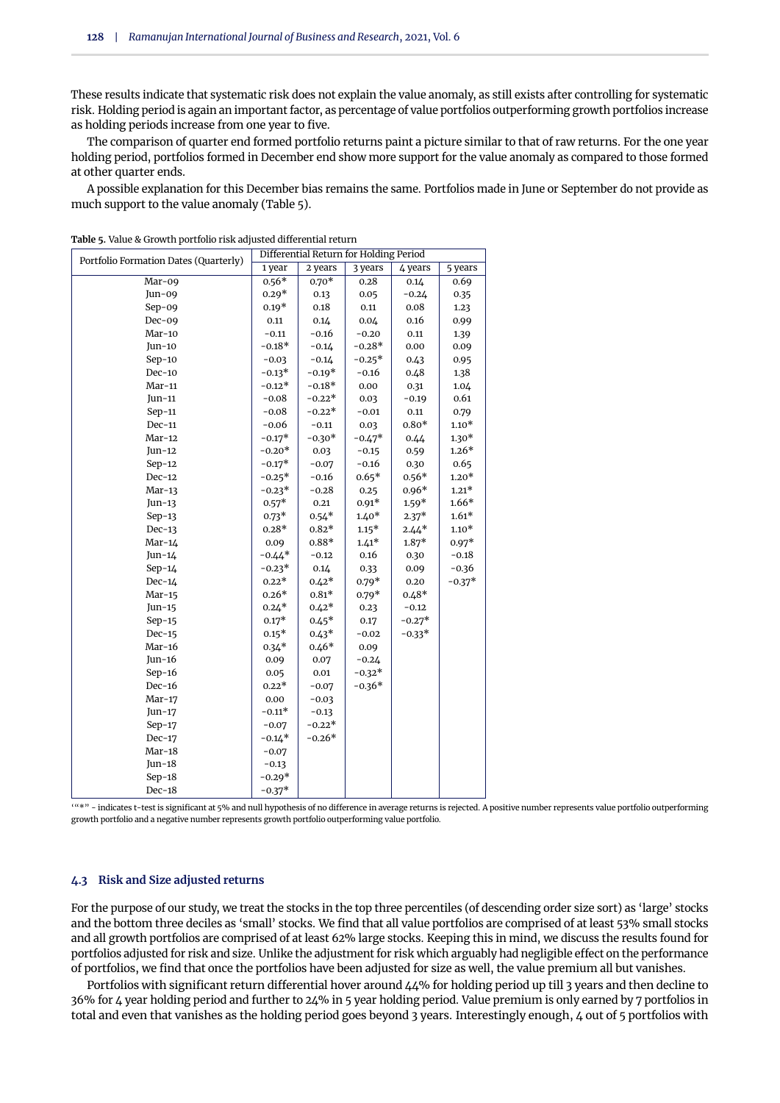These results indicate that systematic risk does not explain the value anomaly, as still exists after controlling for systematic risk. Holding period is again an important factor, as percentage of value portfolios outperforming growth portfolios increase as holding periods increase from one year to five.

The comparison of quarter end formed portfolio returns paint a picture similar to that of raw returns. For the one year holding period, portfolios formed in December end show more support for the value anomaly as compared to those formed at other quarter ends.

A possible explanation for this December bias remains the same. Portfolios made in June or September do not provide as much support to the value anomaly [\(Table 5\)](#page-6-0).

| Portfolio Formation Dates (Quarterly)                                                                                   | Differential Return for Holding Period |          |          |          |          |  |  |  |
|-------------------------------------------------------------------------------------------------------------------------|----------------------------------------|----------|----------|----------|----------|--|--|--|
|                                                                                                                         | 1 year                                 | 2 years  | 3 years  | 4 years  | 5 years  |  |  |  |
| Mar-09                                                                                                                  | $0.56*$                                | $0.70*$  | 0.28     | 0.14     | 0.69     |  |  |  |
| Jun-09                                                                                                                  | $0.29*$                                | 0.13     | 0.05     | $-0.24$  | 0.35     |  |  |  |
| $Sep-09$                                                                                                                | $0.19*$                                | 0.18     | 0.11     | 0.08     | 1.23     |  |  |  |
| $Dec-09$                                                                                                                | 0.11                                   | 0.14     | 0.04     | 0.16     | 0.99     |  |  |  |
| $Mar-10$                                                                                                                | $-0.11$                                | $-0.16$  | $-0.20$  | 0.11     | 1.39     |  |  |  |
| Jun-10                                                                                                                  | $-0.18*$                               | $-0.14$  | $-0.28*$ | 0.00     | 0.09     |  |  |  |
| $Sep-10$                                                                                                                | $-0.03$                                | $-0.14$  | $-0.25*$ | 0.43     | 0.95     |  |  |  |
| $Dec-10$                                                                                                                | $-0.13*$                               | $-0.19*$ | $-0.16$  | 0.48     | 1.38     |  |  |  |
| Mar-11                                                                                                                  | $-0.12*$                               | $-0.18*$ | 0.00     | 0.31     | 1.04     |  |  |  |
| $Jun-11$                                                                                                                | $-0.08$                                | $-0.22*$ | 0.03     | $-0.19$  | 0.61     |  |  |  |
| $Sep-11$                                                                                                                | $-0.08$                                | $-0.22*$ | $-0.01$  | 0.11     | 0.79     |  |  |  |
| $Dec-11$                                                                                                                | $-0.06$                                | $-0.11$  | 0.03     | $0.80*$  | $1.10*$  |  |  |  |
| $Mar-12$                                                                                                                | $-0.17*$                               | $-0.30*$ | $-0.47*$ | 0.44     | $1.30*$  |  |  |  |
| $Jun-12$                                                                                                                | $-0.20*$                               | 0.03     | $-0.15$  | 0.59     | $1.26*$  |  |  |  |
| $Sep-12$                                                                                                                | $-0.17*$                               | $-0.07$  | $-0.16$  | 0.30     | 0.65     |  |  |  |
| $Dec-12$                                                                                                                | $-0.25*$                               | -0.16    | $0.65*$  | $0.56*$  | $1.20*$  |  |  |  |
| $Mar-13$                                                                                                                | $-0.23*$                               | $-0.28$  | 0.25     | $0.96*$  | $1.21*$  |  |  |  |
| $Jun-13$                                                                                                                | $0.57*$                                | 0.21     | $0.91*$  | $1.59*$  | $1.66*$  |  |  |  |
| $Sep-13$                                                                                                                | $0.73*$                                | $0.54*$  | $1.40*$  | $2.37*$  | $1.61*$  |  |  |  |
| $Dec-13$                                                                                                                | $0.28*$                                | $0.82*$  | $1.15*$  | $2.44*$  | $1.10*$  |  |  |  |
| $Mar-14$                                                                                                                | 0.09                                   | $0.88*$  | $1.41*$  | $1.87*$  | $0.97*$  |  |  |  |
| $Jun-14$                                                                                                                | $-0.44*$                               | $-0.12$  | 0.16     | 0.30     | $-0.18$  |  |  |  |
| $Sep-14$                                                                                                                | $-0.23*$                               | 0.14     | 0.33     | 0.09     | $-0.36$  |  |  |  |
| $Dec-14$                                                                                                                | $0.22*$                                | $0.42*$  | $0.79*$  | 0.20     | $-0.37*$ |  |  |  |
| $Mar-15$                                                                                                                | $0.26*$                                | $0.81*$  | $0.79*$  | $0.48*$  |          |  |  |  |
| $Jun-15$                                                                                                                | $0.24*$                                | $0.42*$  | 0.23     | $-0.12$  |          |  |  |  |
| $Sep-15$                                                                                                                | $0.17*$                                | $0.45*$  | 0.17     | $-0.27*$ |          |  |  |  |
| $Dec-15$                                                                                                                | $0.15*$                                | $0.43*$  | $-0.02$  | $-0.33*$ |          |  |  |  |
| $Mar-16$                                                                                                                | $0.34*$                                | $0.46*$  | 0.09     |          |          |  |  |  |
| Jun- $16$                                                                                                               | 0.09                                   | 0.07     | $-0.24$  |          |          |  |  |  |
| $Sep-16$                                                                                                                | 0.05                                   | 0.01     | $-0.32*$ |          |          |  |  |  |
| $Dec-16$                                                                                                                | $0.22*$                                | $-0.07$  | $-0.36*$ |          |          |  |  |  |
| $Mar-17$                                                                                                                | 0.00                                   | $-0.03$  |          |          |          |  |  |  |
| $Jun-17$                                                                                                                | $-0.11*$                               | $-0.13$  |          |          |          |  |  |  |
| $Sep-17$                                                                                                                | $-0.07$                                | $-0.22*$ |          |          |          |  |  |  |
| $Dec-17$                                                                                                                | $-0.14*$                               | $-0.26*$ |          |          |          |  |  |  |
| $Mar-18$                                                                                                                | $-0.07$                                |          |          |          |          |  |  |  |
| $Jun-18$                                                                                                                | $-0.13$                                |          |          |          |          |  |  |  |
| $Sep-18$                                                                                                                | $-0.29*$                               |          |          |          |          |  |  |  |
| $Dec-18$                                                                                                                | $-0.37*$                               |          |          |          |          |  |  |  |
| $(44)$ -indicates t-test is significant at $5\%$ and pull hypothesis of no difference in average returns is rejected. A |                                        |          |          |          |          |  |  |  |

<span id="page-6-0"></span>**Table 5.** Value & Growth portfolio risk adjusted differential return

hypothesis of no difference in average returns is rejected. A positive number represents value portfolio outperforming growth portfolio and a negative number represents growth portfolio outperforming value portfolio.

#### **4.3 Risk and Size adjusted returns**

For the purpose of our study, we treat the stocks in the top three percentiles (of descending order size sort) as 'large' stocks and the bottom three deciles as 'small' stocks. We find that all value portfolios are comprised of at least 53% small stocks and all growth portfolios are comprised of at least 62% large stocks. Keeping this in mind, we discuss the results found for portfolios adjusted for risk and size. Unlike the adjustment for risk which arguably had negligible effect on the performance of portfolios, we find that once the portfolios have been adjusted for size as well, the value premium all but vanishes.

Portfolios with significant return differential hover around  $\Delta\Delta\%$  for holding period up till 3 years and then decline to 36% for 4 year holding period and further to 24% in 5 year holding period. Value premium is only earned by 7 portfolios in total and even that vanishes as the holding period goes beyond 3 years. Interestingly enough, 4 out of 5 portfolios with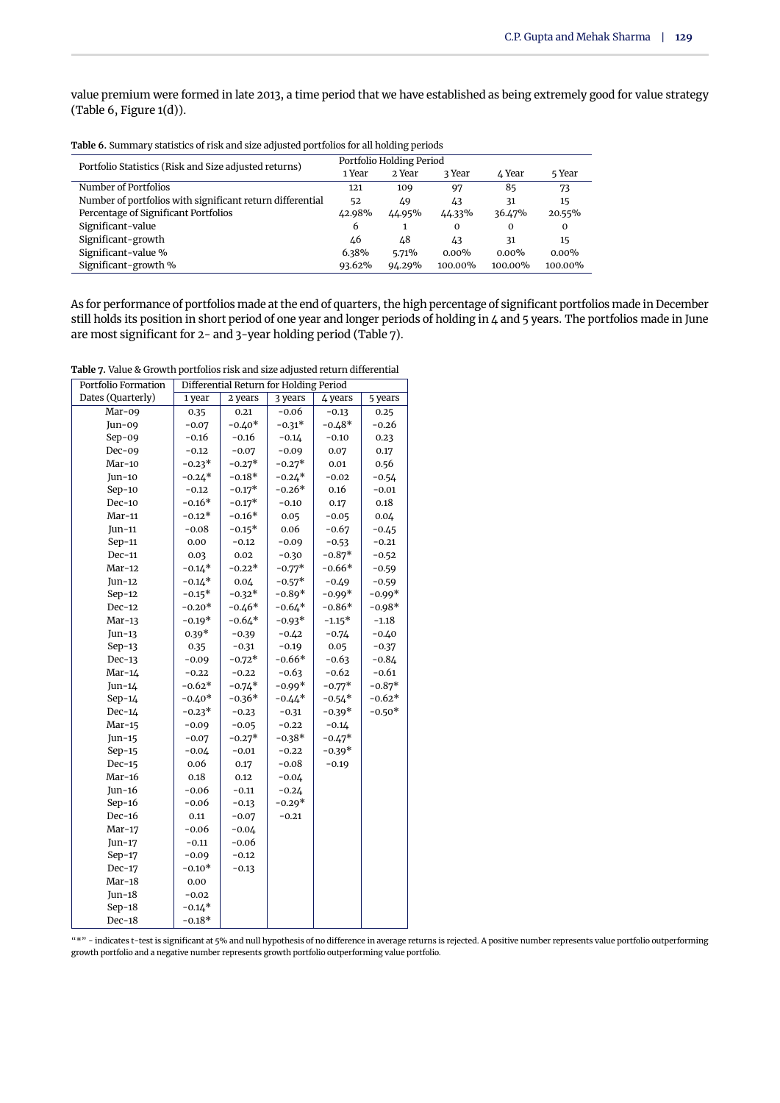value premium were formed in late 2013, a time period that we have established as being extremely good for value strategy [\(Table 6,](#page-7-0) [Figure 1\(](#page-4-0)d)).

<span id="page-7-0"></span>

| Table 6. Summary statistics of risk and size adjusted portfolios for all holding periods |                          |        |          |          |          |  |  |
|------------------------------------------------------------------------------------------|--------------------------|--------|----------|----------|----------|--|--|
| Portfolio Statistics (Risk and Size adjusted returns)                                    | Portfolio Holding Period |        |          |          |          |  |  |
|                                                                                          | 1 Year                   | 2 Year | 3 Year   | 4 Year   | 5 Year   |  |  |
| Number of Portfolios                                                                     | 121                      | 109    | 97       | 85       | 73       |  |  |
| Number of portfolios with significant return differential                                | 52                       | 49     | 43       | 31       | 15       |  |  |
| Percentage of Significant Portfolios                                                     | 42.98%                   | 44.95% | 44.33%   | 36.47%   | 20.55%   |  |  |
| Significant-value                                                                        | 6                        |        | $\Omega$ | $\Omega$ | $\Omega$ |  |  |
| Significant-growth                                                                       | 46                       | 48     | 43       | 31       | 15       |  |  |
| Significant-value %                                                                      | 6.38%                    | 5.71%  | $0.00\%$ | $0.00\%$ | $0.00\%$ |  |  |
| Significant-growth %                                                                     | 93.62%                   | 94.29% | 100.00%  | 100.00%  | 100.00%  |  |  |

As for performance of portfolios made at the end of quarters, the high percentage of significant portfolios made in December still holds its position in short period of one year and longer periods of holding in 4 and 5 years. The portfolios made in June are most significant for 2- and 3-year holding period [\(Table 7\)](#page-7-1).

<span id="page-7-1"></span>**Table 7.** Value & Growth portfolios risk and size adjusted return differential

| Portfolio Formation | Differential Return for Holding Period |          |                               |          |          |  |
|---------------------|----------------------------------------|----------|-------------------------------|----------|----------|--|
| Dates (Quarterly)   | 1 year                                 | 2 years  | 3 years<br>4 years<br>5 years |          |          |  |
| Mar-09              | 0.35                                   | 0.21     | -0.06                         | $-0.13$  | 0.25     |  |
| Jun-09              | $-0.07$                                | $-0.40*$ | $-0.31*$                      | $-0.48*$ | $-0.26$  |  |
| $Sep-09$            | $-0.16$                                | $-0.16$  | $-0.14$                       | $-0.10$  | 0.23     |  |
| $Dec-09$            | $-0.12$                                | $-0.07$  | $-0.09$                       | 0.07     | 0.17     |  |
| $Mar-10$            | $-0.23*$                               | $-0.27*$ | $-0.27*$                      | 0.01     | 0.56     |  |
| $Jun-10$            | $-0.24*$                               | $-0.18*$ | $-0.24*$                      | $-0.02$  | $-0.54$  |  |
| $Sep-10$            | $-0.12$                                | $-0.17*$ | $-0.26*$                      | 0.16     | $-0.01$  |  |
| $Dec-10$            | $-0.16*$                               | $-0.17*$ | $-0.10$                       | 0.17     | 0.18     |  |
| $Mar-11$            | $-0.12*$                               | $-0.16*$ | 0.05                          | $-0.05$  | 0.04     |  |
| $Jun-11$            | $-0.08$                                | $-0.15*$ | 0.06                          | $-0.67$  | $-0.45$  |  |
| $Sep-11$            | 0.00                                   | $-0.12$  | $-0.09$                       | $-0.53$  | $-0.21$  |  |
| Dec-11              | 0.03                                   | 0.02     | $-0.30$                       | $-0.87*$ | $-0.52$  |  |
| $Mar-12$            | $-0.14*$                               | $-0.22*$ | $-0.77*$                      | $-0.66*$ | $-0.59$  |  |
| Jun-12              | $-0.14*$                               | 0.04     | $-0.57*$                      | $-0.49$  | $-0.59$  |  |
| $Sep-12$            | $-0.15*$                               | $-0.32*$ | $-0.89*$                      | $-0.99*$ | $-0.99*$ |  |
| $Dec-12$            | $-0.20*$                               | $-0.46*$ | $-0.64*$                      | $-0.86*$ | $-0.98*$ |  |
| $Mar-13$            | $-0.19*$                               | $-0.64*$ | $-0.93*$                      | $-1.15*$ | $-1.18$  |  |
| $Jun-13$            | $0.39*$                                | $-0.39$  | $-0.42$                       | $-0.74$  | $-0.40$  |  |
| $Sep-13$            | 0.35                                   | $-0.31$  | $-0.19$                       | 0.05     | $-0.37$  |  |
| $Dec-13$            | $-0.09$                                | $-0.72*$ | $-0.66*$                      | $-0.63$  | $-0.84$  |  |
| $Mar-14$            | $-0.22$                                | $-0.22$  | $-0.63$                       | $-0.62$  | $-0.61$  |  |
| $Jun-14$            | $-0.62*$                               | $-0.74*$ | $-0.99*$                      | $-0.77*$ | $-0.87*$ |  |
| $Sep-14$            | $-0.40*$                               | $-0.36*$ | $-0.44*$                      | $-0.54*$ | $-0.62*$ |  |
| $Dec-14$            | $-0.23*$                               | $-0.23$  | $-0.31$                       | $-0.39*$ | $-0.50*$ |  |
| $Mar-15$            | $-0.09$                                | $-0.05$  | $-0.22$                       | $-0.14$  |          |  |
| Jun-15              | $-0.07$                                | $-0.27*$ | $-0.38*$                      | $-0.47*$ |          |  |
| $Sep-15$            | $-0.04$                                | $-0.01$  | $-0.22$                       | $-0.39*$ |          |  |
| $Dec-15$            | 0.06                                   | 0.17     | -0.08                         | $-0.19$  |          |  |
| $Mar-16$            | 0.18                                   | 0.12     | $-0.04$                       |          |          |  |
| $Jun-16$            | $-0.06$                                | $-0.11$  | $-0.24$                       |          |          |  |
| $Sep-16$            | $-0.06$                                | $-0.13$  | $-0.29*$                      |          |          |  |
| $Dec-16$            | 0.11                                   | $-0.07$  | $-0.21$                       |          |          |  |
| $Mar-17$            | $-0.06$                                | $-0.04$  |                               |          |          |  |
| Jun-17              | $-0.11$                                | $-0.06$  |                               |          |          |  |
| $Sep-17$            | $-0.09$                                | $-0.12$  |                               |          |          |  |
| $Dec-17$            | $-0.10*$                               | $-0.13$  |                               |          |          |  |
| $Mar-18$            | 0.00                                   |          |                               |          |          |  |
| Jun- $18$           | $-0.02$                                |          |                               |          |          |  |
| $Sep-18$            | $-0.14*$                               |          |                               |          |          |  |
| Dec-18              | $-0.18*$                               |          |                               |          |          |  |

"\*" - indicates t-test is significant at 5% and null hypothesis of no difference in average returns is rejected. A positive number represents value portfolio outperforming growth portfolio and a negative number represents growth portfolio outperforming value portfolio.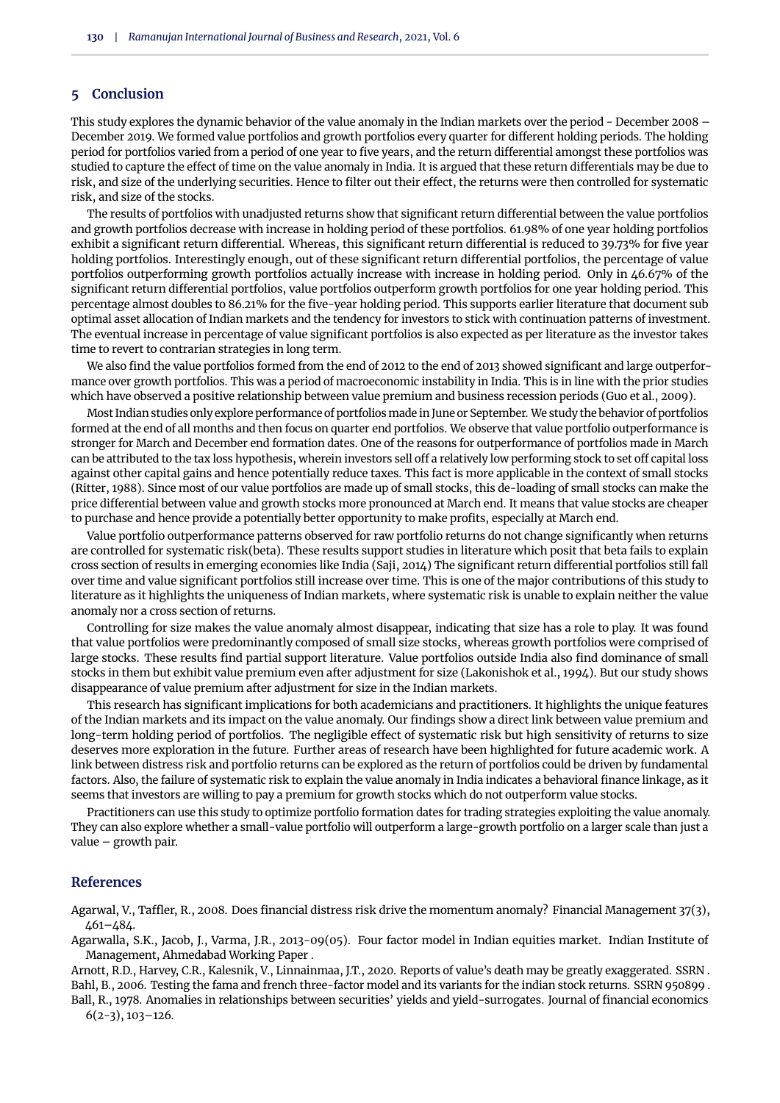# **5 Conclusion**

This study explores the dynamic behavior of the value anomaly in the Indian markets over the period - December 2008 – December 2019. We formed value portfolios and growth portfolios every quarter for different holding periods. The holding period for portfolios varied from a period of one year to five years, and the return differential amongst these portfolios was studied to capture the effect of time on the value anomaly in India. It is argued that these return differentials may be due to risk, and size of the underlying securities. Hence to filter out their effect, the returns were then controlled for systematic risk, and size of the stocks.

The results of portfolios with unadjusted returns show that significant return differential between the value portfolios and growth portfolios decrease with increase in holding period of these portfolios. 61.98% of one year holding portfolios exhibit a significant return differential. Whereas, this significant return differential is reduced to 39.73% for five year holding portfolios. Interestingly enough, out of these significant return differential portfolios, the percentage of value portfolios outperforming growth portfolios actually increase with increase in holding period. Only in 46.67% of the significant return differential portfolios, value portfolios outperform growth portfolios for one year holding period. This percentage almost doubles to 86.21% for the five-year holding period. This supports earlier literature that document sub optimal asset allocation of Indian markets and the tendency for investors to stick with continuation patterns of investment. The eventual increase in percentage of value significant portfolios is also expected as per literature as the investor takes time to revert to contrarian strategies in long term.

We also find the value portfolios formed from the end of 2012 to the end of 2013 showed significant and large outperformance over growth portfolios. This was a period of macroeconomic instability in India. This is in line with the prior studies which have observed a positive relationship between value premium and business recession periods [\(Guo et al.,](#page-9-33) [2009\)](#page-9-33).

Most Indian studies only explore performance of portfolios made in June or September. We study the behavior of portfolios formed at the end of all months and then focus on quarter end portfolios. We observe that value portfolio outperformance is stronger for March and December end formation dates. One of the reasons for outperformance of portfolios made in March can be attributed to the tax loss hypothesis, wherein investors sell off a relatively low performing stock to set off capital loss against other capital gains and hence potentially reduce taxes. This fact is more applicable in the context of small stocks [\(Ritter,](#page-9-34) [1988\)](#page-9-34). Since most of our value portfolios are made up of small stocks, this de-loading of small stocks can make the price differential between value and growth stocks more pronounced at March end. It means that value stocks are cheaper to purchase and hence provide a potentially better opportunity to make profits, especially at March end.

Value portfolio outperformance patterns observed for raw portfolio returns do not change significantly when returns are controlled for systematic risk(beta). These results support studies in literature which posit that beta fails to explain cross section of results in emerging economies like India [\(Saji,](#page-9-35) [2014\)](#page-9-35) The significant return differential portfolios still fall over time and value significant portfolios still increase over time. This is one of the major contributions of this study to literature as it highlights the uniqueness of Indian markets, where systematic risk is unable to explain neither the value anomaly nor a cross section of returns.

Controlling for size makes the value anomaly almost disappear, indicating that size has a role to play. It was found that value portfolios were predominantly composed of small size stocks, whereas growth portfolios were comprised of large stocks. These results find partial support literature. Value portfolios outside India also find dominance of small stocks in them but exhibit value premium even after adjustment for size [\(Lakonishok et al.,](#page-9-9) [1994\)](#page-9-9). But our study shows disappearance of value premium after adjustment for size in the Indian markets.

This research has significant implications for both academicians and practitioners. It highlights the unique features of the Indian markets and its impact on the value anomaly. Our findings show a direct link between value premium and long-term holding period of portfolios. The negligible effect of systematic risk but high sensitivity of returns to size deserves more exploration in the future. Further areas of research have been highlighted for future academic work. A link between distress risk and portfolio returns can be explored as the return of portfolios could be driven by fundamental factors. Also, the failure of systematic risk to explain the value anomaly in India indicates a behavioral finance linkage, as it seems that investors are willing to pay a premium for growth stocks which do not outperform value stocks.

Practitioners can use this study to optimize portfolio formation dates for trading strategies exploiting the value anomaly. They can also explore whether a small-value portfolio will outperform a large-growth portfolio on a larger scale than just a value – growth pair.

#### **References**

<span id="page-8-2"></span>Agarwal, V., Taffler, R., 2008. Does financial distress risk drive the momentum anomaly? Financial Management 37(3), 461–484.

<span id="page-8-1"></span>Agarwalla, S.K., Jacob, J., Varma, J.R., 2013-09(05). Four factor model in Indian equities market. Indian Institute of Management, Ahmedabad Working Paper .

<span id="page-8-4"></span><span id="page-8-3"></span>Arnott, R.D., Harvey, C.R., Kalesnik, V., Linnainmaa, J.T., 2020. Reports of value's death may be greatly exaggerated. SSRN . Bahl, B., 2006. Testing the fama and french three-factor model and its variants for the indian stock returns. SSRN 950899 .

<span id="page-8-0"></span>Ball, R., 1978. Anomalies in relationships between securities' yields and yield-surrogates. Journal of financial economics  $6(2-3), 103-126.$